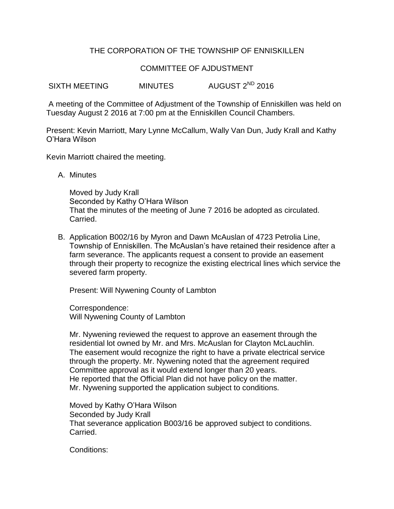## THE CORPORATION OF THE TOWNSHIP OF ENNISKILLEN

## COMMITTEE OF AJDUSTMENT

SIXTH MEETING MINUTES AUGUST 2<sup>ND</sup> 2016

A meeting of the Committee of Adjustment of the Township of Enniskillen was held on Tuesday August 2 2016 at 7:00 pm at the Enniskillen Council Chambers.

Present: Kevin Marriott, Mary Lynne McCallum, Wally Van Dun, Judy Krall and Kathy O'Hara Wilson

Kevin Marriott chaired the meeting.

A. Minutes

Moved by Judy Krall Seconded by Kathy O'Hara Wilson That the minutes of the meeting of June 7 2016 be adopted as circulated. Carried.

B. Application B002/16 by Myron and Dawn McAuslan of 4723 Petrolia Line, Township of Enniskillen. The McAuslan's have retained their residence after a farm severance. The applicants request a consent to provide an easement through their property to recognize the existing electrical lines which service the severed farm property.

Present: Will Nywening County of Lambton

Correspondence: Will Nywening County of Lambton

Mr. Nywening reviewed the request to approve an easement through the residential lot owned by Mr. and Mrs. McAuslan for Clayton McLauchlin. The easement would recognize the right to have a private electrical service through the property. Mr. Nywening noted that the agreement required Committee approval as it would extend longer than 20 years. He reported that the Official Plan did not have policy on the matter. Mr. Nywening supported the application subject to conditions.

Moved by Kathy O'Hara Wilson Seconded by Judy Krall That severance application B003/16 be approved subject to conditions. Carried.

Conditions: